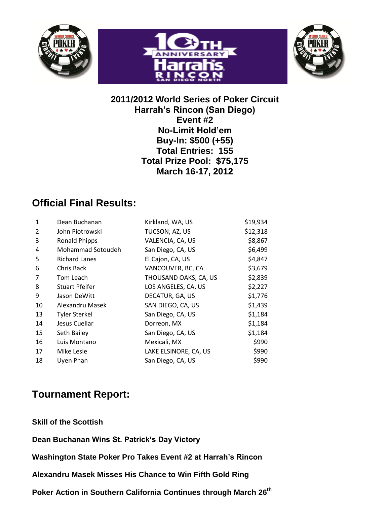





### **2011/2012 World Series of Poker Circuit Harrah's Rincon (San Diego) Event #2 No-Limit Hold'em Buy-In: \$500 (+55) Total Entries: 155 Total Prize Pool: \$75,175 March 16-17, 2012**

# **Official Final Results:**

| 1  | Dean Buchanan         | Kirkland, WA, US      | \$19,934 |
|----|-----------------------|-----------------------|----------|
| 2  | John Piotrowski       | TUCSON, AZ, US        | \$12,318 |
| 3  | <b>Ronald Phipps</b>  | VALENCIA, CA, US      | \$8,867  |
| 4  | Mohammad Sotoudeh     | San Diego, CA, US     | \$6,499  |
| 5  | <b>Richard Lanes</b>  | El Cajon, CA, US      | \$4,847  |
| 6  | Chris Back            | VANCOUVER, BC, CA     | \$3,679  |
| 7  | Tom Leach             | THOUSAND OAKS, CA, US | \$2,839  |
| 8  | <b>Stuart Pfeifer</b> | LOS ANGELES, CA, US   | \$2,227  |
| 9  | Jason DeWitt          | DECATUR, GA, US       | \$1,776  |
| 10 | Alexandru Masek       | SAN DIEGO, CA, US     | \$1,439  |
| 13 | <b>Tyler Sterkel</b>  | San Diego, CA, US     | \$1,184  |
| 14 | Jesus Cuellar         | Dorreon, MX           | \$1,184  |
| 15 | Seth Bailey           | San Diego, CA, US     | \$1,184  |
| 16 | Luis Montano          | Mexicali, MX          | \$990    |
| 17 | Mike Lesle            | LAKE ELSINORE, CA, US | \$990    |
| 18 | Uyen Phan             | San Diego, CA, US     | \$990    |

## **Tournament Report:**

**Skill of the Scottish**

**Dean Buchanan Wins St. Patrick's Day Victory**

**Washington State Poker Pro Takes Event #2 at Harrah's Rincon**

**Alexandru Masek Misses His Chance to Win Fifth Gold Ring**

**Poker Action in Southern California Continues through March 26 th**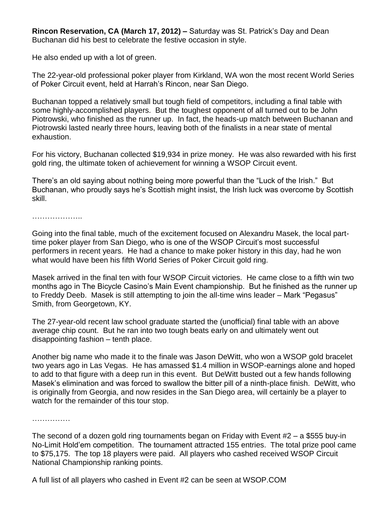**Rincon Reservation, CA (March 17, 2012) –** Saturday was St. Patrick's Day and Dean Buchanan did his best to celebrate the festive occasion in style.

He also ended up with a lot of green.

The 22-year-old professional poker player from Kirkland, WA won the most recent World Series of Poker Circuit event, held at Harrah's Rincon, near San Diego.

Buchanan topped a relatively small but tough field of competitors, including a final table with some highly-accomplished players. But the toughest opponent of all turned out to be John Piotrowski, who finished as the runner up. In fact, the heads-up match between Buchanan and Piotrowski lasted nearly three hours, leaving both of the finalists in a near state of mental exhaustion.

For his victory, Buchanan collected \$19,934 in prize money. He was also rewarded with his first gold ring, the ultimate token of achievement for winning a WSOP Circuit event.

There's an old saying about nothing being more powerful than the "Luck of the Irish." But Buchanan, who proudly says he's Scottish might insist, the Irish luck was overcome by Scottish skill.

…………………

Going into the final table, much of the excitement focused on Alexandru Masek, the local parttime poker player from San Diego, who is one of the WSOP Circuit's most successful performers in recent years. He had a chance to make poker history in this day, had he won what would have been his fifth World Series of Poker Circuit gold ring.

Masek arrived in the final ten with four WSOP Circuit victories. He came close to a fifth win two months ago in The Bicycle Casino's Main Event championship. But he finished as the runner up to Freddy Deeb. Masek is still attempting to join the all-time wins leader – Mark "Pegasus" Smith, from Georgetown, KY.

The 27-year-old recent law school graduate started the (unofficial) final table with an above average chip count. But he ran into two tough beats early on and ultimately went out disappointing fashion – tenth place.

Another big name who made it to the finale was Jason DeWitt, who won a WSOP gold bracelet two years ago in Las Vegas. He has amassed \$1.4 million in WSOP-earnings alone and hoped to add to that figure with a deep run in this event. But DeWitt busted out a few hands following Masek's elimination and was forced to swallow the bitter pill of a ninth-place finish. DeWitt, who is originally from Georgia, and now resides in the San Diego area, will certainly be a player to watch for the remainder of this tour stop.

……………

The second of a dozen gold ring tournaments began on Friday with Event #2 – a \$555 buy-in No-Limit Hold'em competition. The tournament attracted 155 entries. The total prize pool came to \$75,175. The top 18 players were paid. All players who cashed received WSOP Circuit National Championship ranking points.

A full list of all players who cashed in Event #2 can be seen at WSOP.COM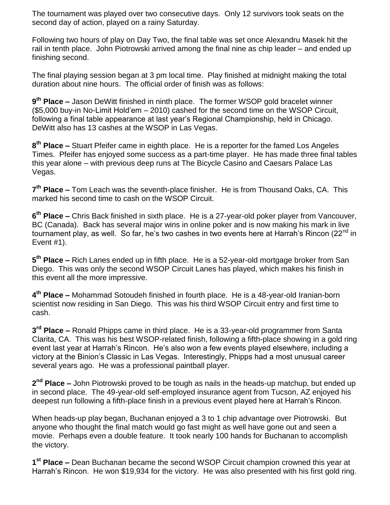The tournament was played over two consecutive days. Only 12 survivors took seats on the second day of action, played on a rainy Saturday.

Following two hours of play on Day Two, the final table was set once Alexandru Masek hit the rail in tenth place. John Piotrowski arrived among the final nine as chip leader – and ended up finishing second.

The final playing session began at 3 pm local time. Play finished at midnight making the total duration about nine hours. The official order of finish was as follows:

**9 th Place –** Jason DeWitt finished in ninth place. The former WSOP gold bracelet winner (\$5,000 buy-in No-Limit Hold'em – 2010) cashed for the second time on the WSOP Circuit, following a final table appearance at last year's Regional Championship, held in Chicago. DeWitt also has 13 cashes at the WSOP in Las Vegas.

**8 th Place –** Stuart Pfeifer came in eighth place. He is a reporter for the famed Los Angeles Times. Pfeifer has enjoyed some success as a part-time player. He has made three final tables this year alone – with previous deep runs at The Bicycle Casino and Caesars Palace Las Vegas.

**7 th Place –** Tom Leach was the seventh-place finisher. He is from Thousand Oaks, CA. This marked his second time to cash on the WSOP Circuit.

**6 th Place –** Chris Back finished in sixth place. He is a 27-year-old poker player from Vancouver, BC (Canada). Back has several major wins in online poker and is now making his mark in live tournament play, as well. So far, he's two cashes in two events here at Harrah's Rincon (22 $<sup>nd</sup>$  in</sup> Event #1).

**5 th Place –** Rich Lanes ended up in fifth place. He is a 52-year-old mortgage broker from San Diego. This was only the second WSOP Circuit Lanes has played, which makes his finish in this event all the more impressive.

**4 th Place –** Mohammad Sotoudeh finished in fourth place. He is a 48-year-old Iranian-born scientist now residing in San Diego. This was his third WSOP Circuit entry and first time to cash.

**3 rd Place –** Ronald Phipps came in third place. He is a 33-year-old programmer from Santa Clarita, CA. This was his best WSOP-related finish, following a fifth-place showing in a gold ring event last year at Harrah's Rincon. He's also won a few events played elsewhere, including a victory at the Binion's Classic in Las Vegas. Interestingly, Phipps had a most unusual career several years ago. He was a professional paintball player.

**2 nd Place –** John Piotrowski proved to be tough as nails in the heads-up matchup, but ended up in second place. The 49-year-old self-employed insurance agent from Tucson, AZ enjoyed his deepest run following a fifth-place finish in a previous event played here at Harrah's Rincon.

When heads-up play began, Buchanan enjoyed a 3 to 1 chip advantage over Piotrowski. But anyone who thought the final match would go fast might as well have gone out and seen a movie. Perhaps even a double feature. It took nearly 100 hands for Buchanan to accomplish the victory.

**1 st Place –** Dean Buchanan became the second WSOP Circuit champion crowned this year at Harrah's Rincon. He won \$19,934 for the victory. He was also presented with his first gold ring.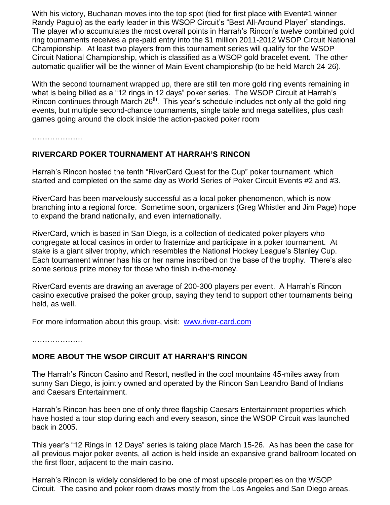With his victory, Buchanan moves into the top spot (tied for first place with Event#1 winner Randy Paguio) as the early leader in this WSOP Circuit's "Best All-Around Player" standings. The player who accumulates the most overall points in Harrah's Rincon's twelve combined gold ring tournaments receives a pre-paid entry into the \$1 million 2011-2012 WSOP Circuit National Championship. At least two players from this tournament series will qualify for the WSOP Circuit National Championship, which is classified as a WSOP gold bracelet event. The other automatic qualifier will be the winner of Main Event championship (to be held March 24-26).

With the second tournament wrapped up, there are still ten more gold ring events remaining in what is being billed as a "12 rings in 12 days" poker series. The WSOP Circuit at Harrah's Rincon continues through March 26<sup>th</sup>. This year's schedule includes not only all the gold ring events, but multiple second-chance tournaments, single table and mega satellites, plus cash games going around the clock inside the action-packed poker room

………………..

#### **RIVERCARD POKER TOURNAMENT AT HARRAH'S RINCON**

Harrah's Rincon hosted the tenth "RiverCard Quest for the Cup" poker tournament, which started and completed on the same day as World Series of Poker Circuit Events #2 and #3.

RiverCard has been marvelously successful as a local poker phenomenon, which is now branching into a regional force. Sometime soon, organizers (Greg Whistler and Jim Page) hope to expand the brand nationally, and even internationally.

RiverCard, which is based in San Diego, is a collection of dedicated poker players who congregate at local casinos in order to fraternize and participate in a poker tournament. At stake is a giant silver trophy, which resembles the National Hockey League's Stanley Cup. Each tournament winner has his or her name inscribed on the base of the trophy. There's also some serious prize money for those who finish in-the-money.

RiverCard events are drawing an average of 200-300 players per event. A Harrah's Rincon casino executive praised the poker group, saying they tend to support other tournaments being held, as well.

For more information about this group, visit: [www.river-card.com](http://www.river-card.com/)

………………..

#### **MORE ABOUT THE WSOP CIRCUIT AT HARRAH'S RINCON**

The Harrah's Rincon Casino and Resort, nestled in the cool mountains 45-miles away from sunny San Diego, is jointly owned and operated by the Rincon San Leandro Band of Indians and Caesars Entertainment.

Harrah's Rincon has been one of only three flagship Caesars Entertainment properties which have hosted a tour stop during each and every season, since the WSOP Circuit was launched back in 2005.

This year's "12 Rings in 12 Days" series is taking place March 15-26. As has been the case for all previous major poker events, all action is held inside an expansive grand ballroom located on the first floor, adjacent to the main casino.

Harrah's Rincon is widely considered to be one of most upscale properties on the WSOP Circuit. The casino and poker room draws mostly from the Los Angeles and San Diego areas.